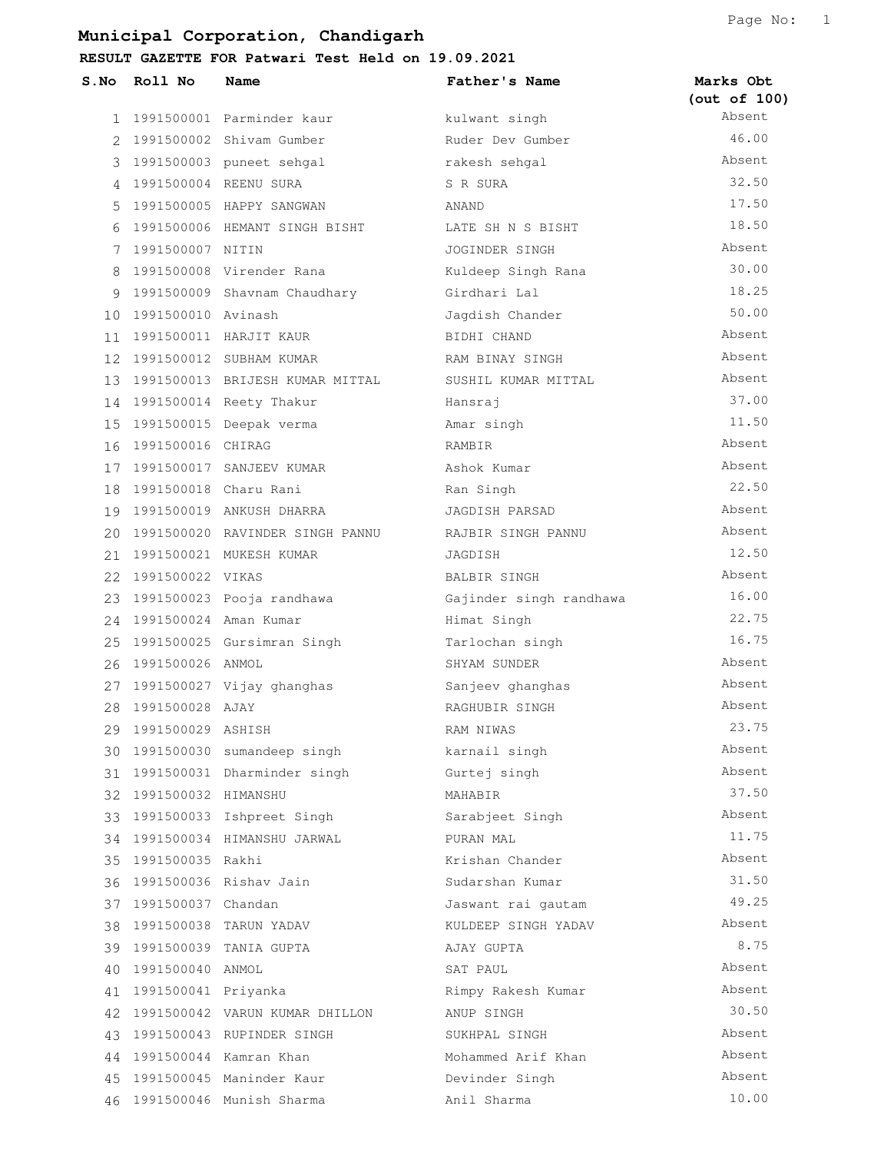| $S$ . No | Roll No                  | Name                               | Father's Name           | Marks Obt    |
|----------|--------------------------|------------------------------------|-------------------------|--------------|
|          |                          |                                    |                         | (out of 100) |
|          |                          | 1 1991500001 Parminder kaur        | kulwant singh           | Absent       |
| 2        |                          | 1991500002 Shivam Gumber           | Ruder Dev Gumber        | 46.00        |
|          |                          | 3 1991500003 puneet sehgal         | rakesh sehgal           | Absent       |
| 4        |                          | 1991500004 REENU SURA              | S R SURA                | 32.50        |
| 5        |                          | 1991500005 HAPPY SANGWAN           | ANAND                   | 17.50        |
| 6        |                          | 1991500006 HEMANT SINGH BISHT      | LATE SH N S BISHT       | 18.50        |
|          | 7 1991500007 NITIN       |                                    | JOGINDER SINGH          | Absent       |
| 8        |                          | 1991500008 Virender Rana           | Kuldeep Singh Rana      | 30.00        |
|          |                          | 9 1991500009 Shavnam Chaudhary     | Girdhari Lal            | 18.25        |
|          | 10 1991500010 Avinash    |                                    | Jagdish Chander         | 50.00        |
|          |                          | 11 1991500011 HARJIT KAUR          | BIDHI CHAND             | Absent       |
|          |                          | 12 1991500012 SUBHAM KUMAR         | RAM BINAY SINGH         | Absent       |
|          |                          | 13 1991500013 BRIJESH KUMAR MITTAL | SUSHIL KUMAR MITTAL     | Absent       |
|          |                          | 14 1991500014 Reety Thakur         | Hansraj                 | 37.00        |
|          |                          | 15 1991500015 Deepak verma         | Amar singh              | 11.50        |
| 16       | 1991500016 CHIRAG        |                                    | RAMBIR                  | Absent       |
|          |                          | 17 1991500017 SANJEEV KUMAR        | Ashok Kumar             | Absent       |
|          |                          | 18 1991500018 Charu Rani           | Ran Singh               | 22.50        |
|          |                          | 19 1991500019 ANKUSH DHARRA        | JAGDISH PARSAD          | Absent       |
|          |                          | 20 1991500020 RAVINDER SINGH PANNU | RAJBIR SINGH PANNU      | Absent       |
|          |                          | 21 1991500021 MUKESH KUMAR         | JAGDISH                 | 12.50        |
|          | 22 1991500022 VIKAS      |                                    | BALBIR SINGH            | Absent       |
| 23       |                          | 1991500023 Pooja randhawa          | Gajinder singh randhawa | 16.00        |
|          | 24 1991500024 Aman Kumar |                                    | Himat Singh             | 22.75        |
|          |                          | 25 1991500025 Gursimran Singh      | Tarlochan singh         | 16.75        |
| 26       | 1991500026 ANMOL         |                                    | SHYAM SUNDER            | Absent       |
|          |                          | 27 1991500027 Vijay ghanghas       | Sanjeev ghanghas        | Absent       |
| 28       | 1991500028 AJAY          |                                    | RAGHUBIR SINGH          | Absent       |
| 29       | 1991500029 ASHISH        |                                    | RAM NIWAS               | 23.75        |
| 30 -     |                          | 1991500030 sumandeep singh         | karnail singh           | Absent       |
|          |                          | 31 1991500031 Dharminder singh     | Gurtej singh            | Absent       |
|          | 32 1991500032 HIMANSHU   |                                    | MAHABIR                 | 37.50        |
|          |                          | 33 1991500033 Ishpreet Singh       | Sarabjeet Singh         | Absent       |
| 34       |                          | 1991500034 HIMANSHU JARWAL         | PURAN MAL               | 11.75        |
| 35       | 1991500035 Rakhi         |                                    | Krishan Chander         | Absent       |
|          |                          | 36 1991500036 Rishav Jain          | Sudarshan Kumar         | 31.50        |
|          | 37 1991500037 Chandan    |                                    | Jaswant rai qautam      | 49.25        |
| 38       |                          | 1991500038 TARUN YADAV             | KULDEEP SINGH YADAV     | Absent       |
|          |                          | 39 1991500039 TANIA GUPTA          | AJAY GUPTA              | 8.75         |
| 40       | 1991500040 ANMOL         |                                    | SAT PAUL                | Absent       |
| 41       | 1991500041 Priyanka      |                                    | Rimpy Rakesh Kumar      | Absent       |
| 42       |                          | 1991500042 VARUN KUMAR DHILLON     | ANUP SINGH              | 30.50        |
| 43       |                          | 1991500043 RUPINDER SINGH          | SUKHPAL SINGH           | Absent       |
|          |                          | 44 1991500044 Kamran Khan          | Mohammed Arif Khan      | Absent       |
|          |                          | 45 1991500045 Maninder Kaur        | Devinder Singh          | Absent       |
|          |                          | 46 1991500046 Munish Sharma        | Anil Sharma             | 10.00        |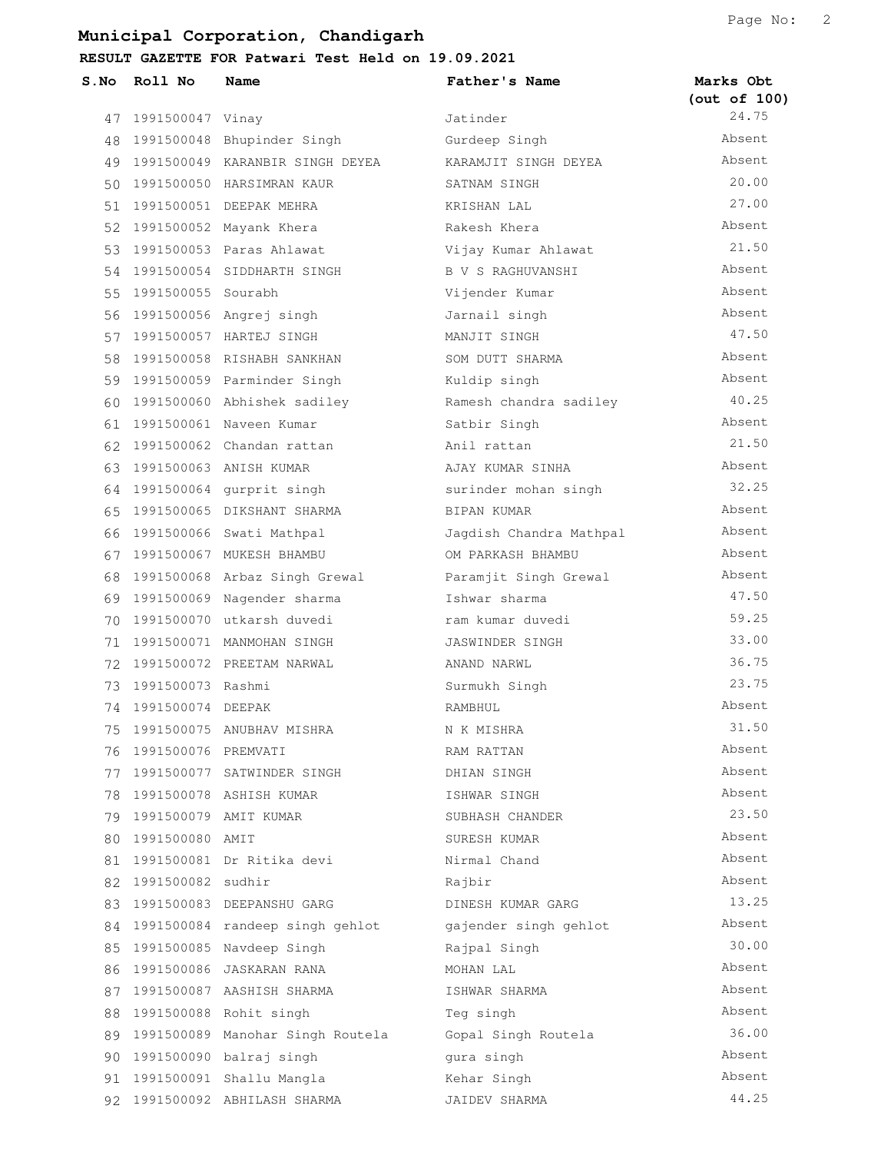**RESULT GAZETTE FOR Patwari Test Held on 19.09.2021**

| S.No | Roll No               | Name                                | Father's Name           | Marks Obt<br>(out of 100) |
|------|-----------------------|-------------------------------------|-------------------------|---------------------------|
|      | 47 1991500047 Vinay   |                                     | Jatinder                | 24.75                     |
| 48   |                       | 1991500048 Bhupinder Singh          | Gurdeep Singh           | Absent                    |
|      |                       | 49 1991500049 KARANBIR SINGH DEYEA  | KARAMJIT SINGH DEYEA    | Absent                    |
| 50   |                       | 1991500050 HARSIMRAN KAUR           | SATNAM SINGH            | 20.00                     |
|      |                       | 51 1991500051 DEEPAK MEHRA          | KRISHAN LAL             | 27.00                     |
|      |                       | 52 1991500052 Mayank Khera          | Rakesh Khera            | Absent                    |
|      |                       | 53 1991500053 Paras Ahlawat         | Vijay Kumar Ahlawat     | 21.50                     |
|      |                       | 54 1991500054 SIDDHARTH SINGH       | B V S RAGHUVANSHI       | Absent                    |
|      | 55 1991500055 Sourabh |                                     | Vijender Kumar          | Absent                    |
|      |                       | 56 1991500056 Angrej singh          | Jarnail singh           | Absent                    |
|      |                       | 57 1991500057 HARTEJ SINGH          | MANJIT SINGH            | 47.50                     |
| 58   |                       | 1991500058 RISHABH SANKHAN          | SOM DUTT SHARMA         | Absent                    |
|      |                       | 59 1991500059 Parminder Singh       | Kuldip singh            | Absent                    |
|      |                       | 60 1991500060 Abhishek sadiley      | Ramesh chandra sadiley  | 40.25                     |
| 61   |                       | 1991500061 Naveen Kumar             | Satbir Singh            | Absent                    |
|      |                       | 62 1991500062 Chandan rattan        | Anil rattan             | 21.50                     |
|      |                       | 63 1991500063 ANISH KUMAR           | AJAY KUMAR SINHA        | Absent                    |
|      |                       | 64 1991500064 gurprit singh         | surinder mohan singh    | 32.25                     |
| 65.  |                       | 1991500065 DIKSHANT SHARMA          | BIPAN KUMAR             | Absent                    |
| 66   |                       | 1991500066 Swati Mathpal            | Jagdish Chandra Mathpal | Absent                    |
|      |                       | 67 1991500067 MUKESH BHAMBU         | OM PARKASH BHAMBU       | Absent                    |
|      |                       | 68 1991500068 Arbaz Singh Grewal    | Paramjit Singh Grewal   | Absent                    |
|      |                       | 69 1991500069 Nagender sharma       | Ishwar sharma           | 47.50                     |
| 70   |                       | 1991500070 utkarsh duvedi           | ram kumar duvedi        | 59.25                     |
| 71   |                       | 1991500071 MANMOHAN SINGH           | JASWINDER SINGH         | 33.00                     |
|      |                       | 72 1991500072 PREETAM NARWAL        | ANAND NARWL             | 36.75                     |
|      | 73 1991500073 Rashmi  |                                     | Surmukh Singh           | 23.75                     |
|      | 74 1991500074 DEEPAK  |                                     | RAMBHUL                 | Absent                    |
|      |                       | 75 1991500075 ANUBHAV MISHRA        | N K MISHRA              | 31.50                     |
| 76   | 1991500076 PREMVATI   |                                     | RAM RATTAN              | Absent                    |
| 77   |                       | 1991500077 SATWINDER SINGH          | DHIAN SINGH             | Absent                    |
| 78   |                       | 1991500078 ASHISH KUMAR             | ISHWAR SINGH            | Absent                    |
|      |                       | 79 1991500079 AMIT KUMAR            | SUBHASH CHANDER         | 23.50                     |
| 80   | 1991500080 AMIT       |                                     | SURESH KUMAR            | Absent                    |
| 81   |                       | 1991500081 Dr Ritika devi           | Nirmal Chand            | Absent                    |
| 82   | 1991500082 sudhir     |                                     | Rajbir                  | Absent                    |
| 83   |                       | 1991500083 DEEPANSHU GARG           | DINESH KUMAR GARG       | 13.25                     |
| 84   |                       | 1991500084 randeep singh gehlot     | gajender singh gehlot   | Absent                    |
| 85   |                       | 1991500085 Navdeep Singh            | Rajpal Singh            | 30.00                     |
| 86   |                       | 1991500086 JASKARAN RANA            | MOHAN LAL               | Absent                    |
| 87   |                       | 1991500087 AASHISH SHARMA           | ISHWAR SHARMA           | Absent                    |
| 88   |                       | 1991500088 Rohit singh              | Teg singh               | Absent                    |
|      |                       | 89 1991500089 Manohar Singh Routela | Gopal Singh Routela     | 36.00                     |
| 90   |                       | 1991500090 balraj singh             | qura singh              | Absent                    |
| 91   |                       | 1991500091 Shallu Mangla            | Kehar Singh             | Absent                    |
|      |                       | 92 1991500092 ABHILASH SHARMA       | JAIDEV SHARMA           | 44.25                     |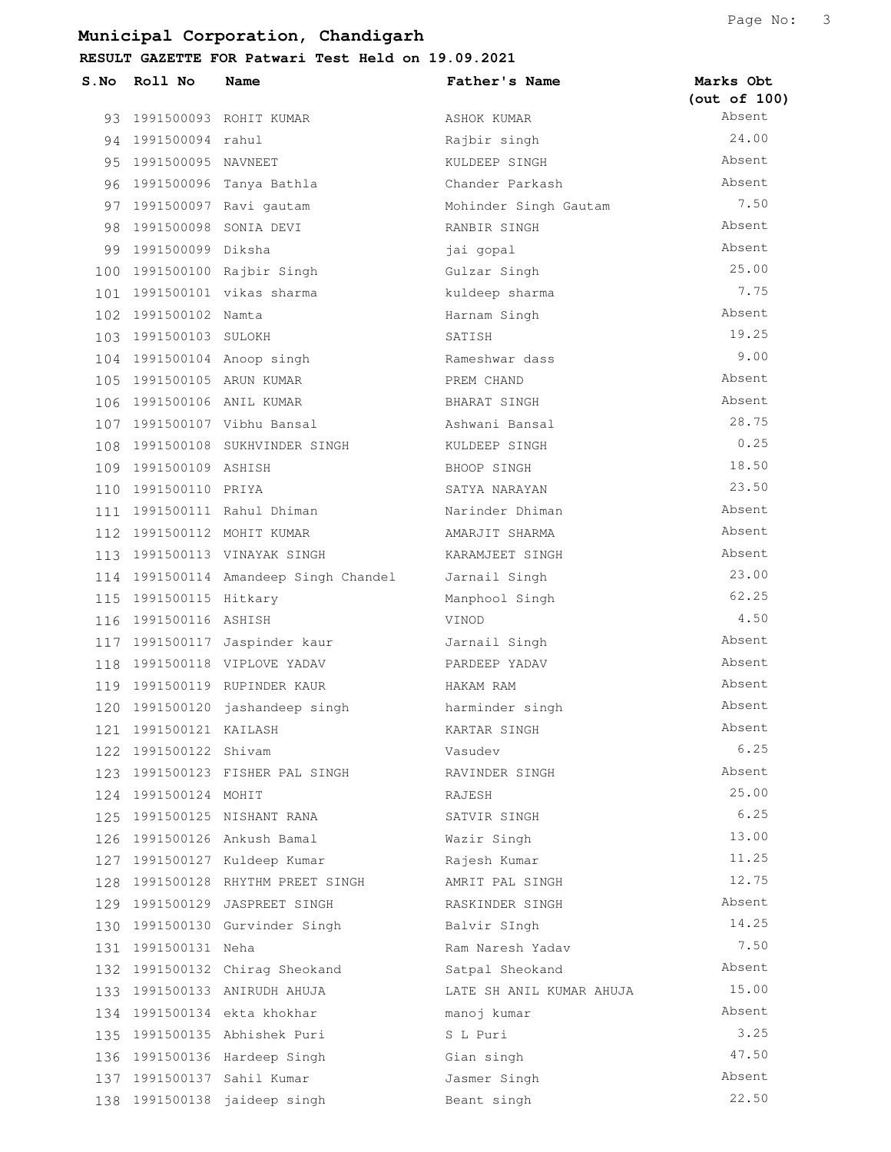| S.No | Roll No                   | Name                                  | Father's Name            | Marks Obt<br>(out of 100) |
|------|---------------------------|---------------------------------------|--------------------------|---------------------------|
|      |                           | 93 1991500093 ROHIT KUMAR             | ASHOK KUMAR              | Absent                    |
|      | 94 1991500094 rahul       |                                       | Rajbir singh             | 24.00                     |
|      | 95 1991500095 NAVNEET     |                                       | KULDEEP SINGH            | Absent                    |
|      |                           | 96 1991500096 Tanya Bathla            | Chander Parkash          | Absent                    |
|      |                           | 97 1991500097 Ravi gautam             | Mohinder Singh Gautam    | 7.50                      |
| 98.  | 1991500098 SONIA DEVI     |                                       | RANBIR SINGH             | Absent                    |
| 99   | 1991500099 Diksha         |                                       | jai gopal                | Absent                    |
|      |                           | 100 1991500100 Rajbir Singh           | Gulzar Singh             | 25.00                     |
|      |                           | 101 1991500101 vikas sharma           | kuldeep sharma           | 7.75                      |
|      | 102 1991500102 Namta      |                                       | Harnam Singh             | Absent                    |
|      | 103 1991500103 SULOKH     |                                       | SATISH                   | 19.25                     |
|      |                           | 104 1991500104 Anoop singh            | Rameshwar dass           | 9.00                      |
|      | 105 1991500105 ARUN KUMAR |                                       | PREM CHAND               | Absent                    |
|      | 106 1991500106 ANIL KUMAR |                                       | BHARAT SINGH             | Absent                    |
|      |                           | 107 1991500107 Vibhu Bansal           | Ashwani Bansal           | 28.75                     |
|      |                           | 108 1991500108 SUKHVINDER SINGH       | KULDEEP SINGH            | 0.25                      |
|      | 109 1991500109 ASHISH     |                                       | BHOOP SINGH              | 18.50                     |
|      | 110 1991500110 PRIYA      |                                       | SATYA NARAYAN            | 23.50                     |
|      |                           | 111 1991500111 Rahul Dhiman           | Narinder Dhiman          | Absent                    |
|      |                           | 112 1991500112 MOHIT KUMAR            | AMARJIT SHARMA           | Absent                    |
|      |                           | 113 1991500113 VINAYAK SINGH          | KARAMJEET SINGH          | Absent                    |
|      |                           | 114 1991500114 Amandeep Singh Chandel | Jarnail Singh            | 23.00                     |
|      | 115 1991500115 Hitkary    |                                       | Manphool Singh           | 62.25                     |
|      | 116 1991500116 ASHISH     |                                       | VINOD                    | 4.50                      |
|      |                           | 117 1991500117 Jaspinder kaur         | Jarnail Singh            | Absent                    |
|      |                           | 118 1991500118 VIPLOVE YADAV          | PARDEEP YADAV            | Absent                    |
|      |                           | 119 1991500119 RUPINDER KAUR          | HAKAM RAM                | Absent                    |
|      |                           | 120 1991500120 jashandeep singh       | harminder singh          | Absent                    |
| 121  | 1991500121 KAILASH        |                                       | KARTAR SINGH             | Absent                    |
|      | 122 1991500122 Shivam     |                                       | Vasudev                  | 6.25                      |
|      |                           | 123 1991500123 FISHER PAL SINGH       | RAVINDER SINGH           | Absent                    |
|      | 124 1991500124 MOHIT      |                                       | RAJESH                   | 25.00                     |
|      |                           | 125 1991500125 NISHANT RANA           | SATVIR SINGH             | 6.25                      |
|      |                           | 126 1991500126 Ankush Bamal           | Wazir Singh              | 13.00                     |
|      |                           | 127 1991500127 Kuldeep Kumar          | Rajesh Kumar             | 11.25                     |
|      |                           | 128 1991500128 RHYTHM PREET SINGH     | AMRIT PAL SINGH          | 12.75                     |
|      |                           | 129 1991500129 JASPREET SINGH         | RASKINDER SINGH          | Absent                    |
|      |                           | 130 1991500130 Gurvinder Singh        | Balvir SIngh             | 14.25                     |
|      | 131 1991500131 Neha       |                                       | Ram Naresh Yadav         | 7.50                      |
|      |                           | 132 1991500132 Chirag Sheokand        | Satpal Sheokand          | Absent                    |
|      |                           | 133 1991500133 ANIRUDH AHUJA          | LATE SH ANIL KUMAR AHUJA | 15.00                     |
|      |                           | 134 1991500134 ekta khokhar           | manoj kumar              | Absent                    |
|      |                           | 135 1991500135 Abhishek Puri          | S L Puri                 | 3.25                      |
|      |                           | 136 1991500136 Hardeep Singh          | Gian singh               | 47.50                     |
|      |                           | 137 1991500137 Sahil Kumar            | Jasmer Singh             | Absent                    |
|      |                           | 138 1991500138 jaideep singh          | Beant singh              | 22.50                     |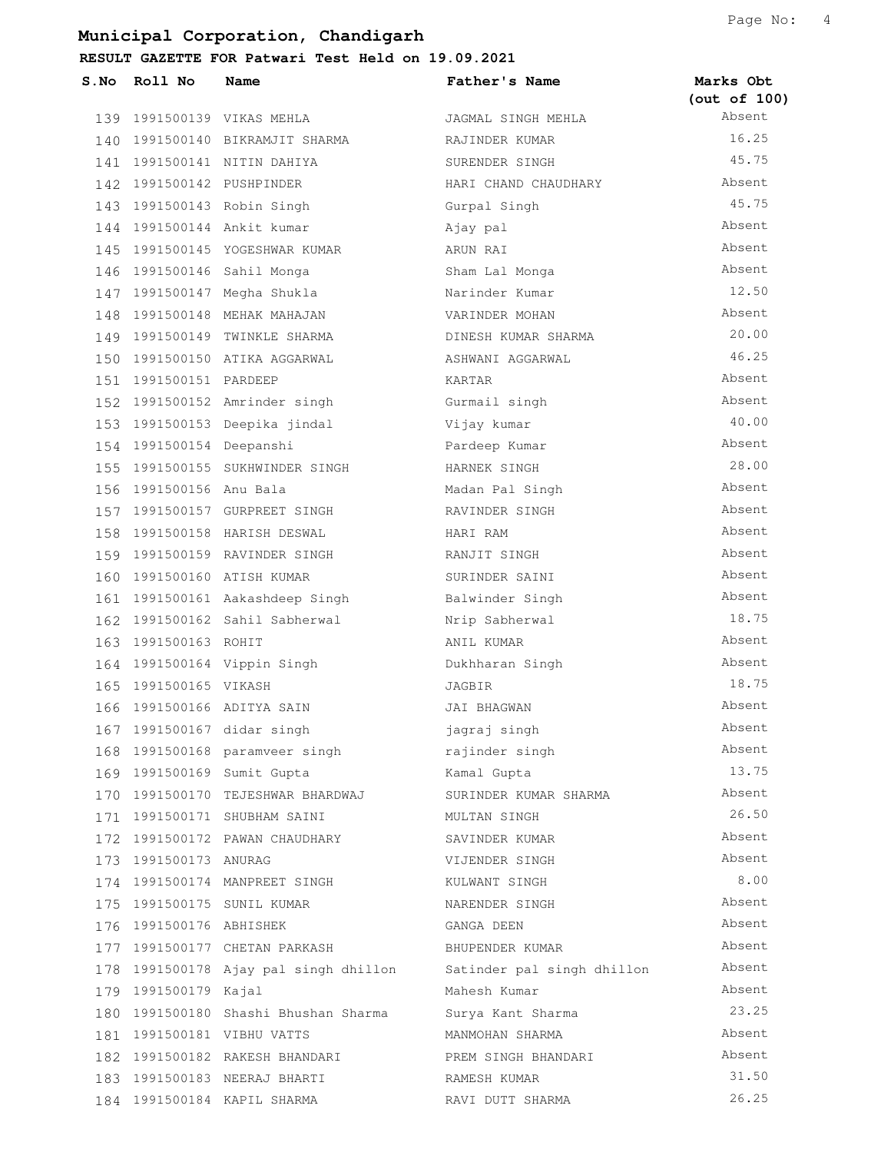| S.No | Roll No                   | Name                                  | Father's Name              | Marks Obt<br>(out of 100) |
|------|---------------------------|---------------------------------------|----------------------------|---------------------------|
|      |                           | 139 1991500139 VIKAS MEHLA            | JAGMAL SINGH MEHLA         | Absent                    |
|      |                           | 140 1991500140 BIKRAMJIT SHARMA       | RAJINDER KUMAR             | 16.25                     |
|      |                           | 141 1991500141 NITIN DAHIYA           | SURENDER SINGH             | 45.75                     |
|      | 142 1991500142 PUSHPINDER |                                       | HARI CHAND CHAUDHARY       | Absent                    |
|      |                           | 143 1991500143 Robin Singh            | Gurpal Singh               | 45.75                     |
|      |                           | 144 1991500144 Ankit kumar            | Ajay pal                   | Absent                    |
|      |                           | 145 1991500145 YOGESHWAR KUMAR        | ARUN RAI                   | Absent                    |
|      |                           | 146 1991500146 Sahil Monga            | Sham Lal Monga             | Absent                    |
|      |                           | 147 1991500147 Megha Shukla           | Narinder Kumar             | 12.50                     |
|      |                           | 148 1991500148 MEHAK MAHAJAN          | VARINDER MOHAN             | Absent                    |
|      |                           | 149 1991500149 TWINKLE SHARMA         | DINESH KUMAR SHARMA        | 20.00                     |
|      |                           | 150 1991500150 ATIKA AGGARWAL         | ASHWANI AGGARWAL           | 46.25                     |
|      | 151 1991500151 PARDEEP    |                                       | KARTAR                     | Absent                    |
|      |                           | 152 1991500152 Amrinder singh         | Gurmail singh              | Absent                    |
|      |                           | 153 1991500153 Deepika jindal         | Vijay kumar                | 40.00                     |
|      | 154 1991500154 Deepanshi  |                                       | Pardeep Kumar              | Absent                    |
|      |                           | 155 1991500155 SUKHWINDER SINGH       | HARNEK SINGH               | 28.00                     |
|      | 156 1991500156 Anu Bala   |                                       | Madan Pal Singh            | Absent                    |
|      |                           | 157 1991500157 GURPREET SINGH         | RAVINDER SINGH             | Absent                    |
|      |                           | 158 1991500158 HARISH DESWAL          | HARI RAM                   | Absent                    |
|      |                           | 159 1991500159 RAVINDER SINGH         | RANJIT SINGH               | Absent                    |
| 160  |                           | 1991500160 ATISH KUMAR                | SURINDER SAINI             | Absent                    |
|      |                           | 161 1991500161 Aakashdeep Singh       | Balwinder Singh            | Absent                    |
|      |                           | 162 1991500162 Sahil Sabherwal        | Nrip Sabherwal             | 18.75                     |
|      | 163 1991500163 ROHIT      |                                       | ANIL KUMAR                 | Absent                    |
|      |                           | 164 1991500164 Vippin Singh           | Dukhharan Singh            | Absent                    |
|      | 165 1991500165 VIKASH     |                                       | JAGBIR                     | 18.75                     |
|      |                           | 166 1991500166 ADITYA SAIN            | JAI BHAGWAN                | Absent                    |
|      |                           | 167 1991500167 didar singh            | jagraj singh               | Absent                    |
|      |                           | 168 1991500168 paramveer singh        | rajinder singh             | Absent                    |
|      |                           | 169 1991500169 Sumit Gupta            | Kamal Gupta                | 13.75                     |
|      |                           | 170 1991500170 TEJESHWAR BHARDWAJ     | SURINDER KUMAR SHARMA      | Absent                    |
|      |                           | 171 1991500171 SHUBHAM SAINI          | MULTAN SINGH               | 26.50                     |
|      |                           | 172 1991500172 PAWAN CHAUDHARY        | SAVINDER KUMAR             | Absent                    |
|      | 173 1991500173 ANURAG     |                                       | VIJENDER SINGH             | Absent                    |
|      |                           | 174 1991500174 MANPREET SINGH         | KULWANT SINGH              | 8.00                      |
|      |                           | 175 1991500175 SUNIL KUMAR            | NARENDER SINGH             | Absent                    |
|      | 176 1991500176 ABHISHEK   |                                       | GANGA DEEN                 | Absent                    |
|      |                           | 177 1991500177 CHETAN PARKASH         | BHUPENDER KUMAR            | Absent                    |
|      |                           | 178 1991500178 Ajay pal singh dhillon | Satinder pal singh dhillon | Absent                    |
|      | 179 1991500179 Kajal      |                                       | Mahesh Kumar               | Absent                    |
|      |                           | 180 1991500180 Shashi Bhushan Sharma  | Surya Kant Sharma          | 23.25                     |
|      |                           | 181 1991500181 VIBHU VATTS            | MANMOHAN SHARMA            | Absent                    |
|      |                           | 182 1991500182 RAKESH BHANDARI        | PREM SINGH BHANDARI        | Absent                    |
|      |                           | 183 1991500183 NEERAJ BHARTI          | RAMESH KUMAR               | 31.50                     |
|      |                           | 184 1991500184 KAPIL SHARMA           | RAVI DUTT SHARMA           | 26.25                     |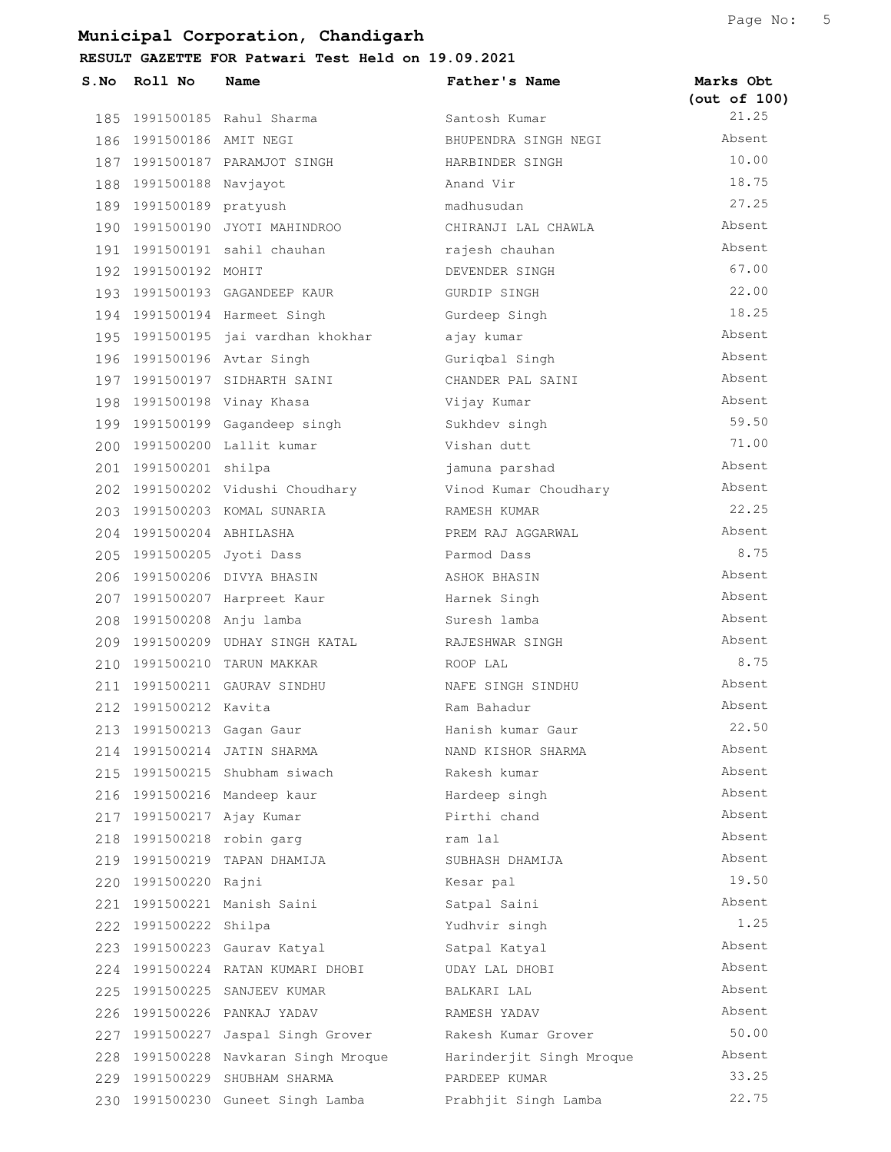| S.No | Roll No                   | Name                                 | Father's Name            | Marks Obt<br>(out of 100) |
|------|---------------------------|--------------------------------------|--------------------------|---------------------------|
|      |                           | 185 1991500185 Rahul Sharma          | Santosh Kumar            | 21.25                     |
|      | 186 1991500186 AMIT NEGI  |                                      | BHUPENDRA SINGH NEGI     | Absent                    |
|      |                           | 187 1991500187 PARAMJOT SINGH        | HARBINDER SINGH          | 10.00                     |
|      | 188 1991500188 Navjayot   |                                      | Anand Vir                | 18.75                     |
|      | 189 1991500189 pratyush   |                                      | madhusudan               | 27.25                     |
|      |                           | 190 1991500190 JYOTI MAHINDROO       | CHIRANJI LAL CHAWLA      | Absent                    |
|      |                           | 191 1991500191 sahil chauhan         | rajesh chauhan           | Absent                    |
|      | 192 1991500192 MOHIT      |                                      | DEVENDER SINGH           | 67.00                     |
|      |                           | 193 1991500193 GAGANDEEP KAUR        | GURDIP SINGH             | 22.00                     |
|      |                           | 194 1991500194 Harmeet Singh         | Gurdeep Singh            | 18.25                     |
|      |                           | 195 1991500195 jai vardhan khokhar   | ajay kumar               | Absent                    |
|      |                           | 196 1991500196 Avtar Singh           | Guriqbal Singh           | Absent                    |
|      |                           | 197 1991500197 SIDHARTH SAINI        | CHANDER PAL SAINI        | Absent                    |
|      |                           | 198 1991500198 Vinay Khasa           | Vijay Kumar              | Absent                    |
|      |                           | 199 1991500199 Gagandeep singh       | Sukhdev singh            | 59.50                     |
|      |                           | 200 1991500200 Lallit kumar          | Vishan dutt              | 71.00                     |
|      | 201 1991500201 shilpa     |                                      | jamuna parshad           | Absent                    |
|      |                           | 202 1991500202 Vidushi Choudhary     | Vinod Kumar Choudhary    | Absent                    |
|      |                           | 203 1991500203 KOMAL SUNARIA         | RAMESH KUMAR             | 22.25                     |
|      | 204 1991500204 ABHILASHA  |                                      | PREM RAJ AGGARWAL        | Absent                    |
|      | 205 1991500205 Jyoti Dass |                                      | Parmod Dass              | 8.75                      |
|      |                           | 206 1991500206 DIVYA BHASIN          | ASHOK BHASIN             | Absent                    |
|      |                           | 207 1991500207 Harpreet Kaur         | Harnek Singh             | Absent                    |
|      | 208 1991500208 Anju lamba |                                      | Suresh lamba             | Absent                    |
|      |                           | 209 1991500209 UDHAY SINGH KATAL     | RAJESHWAR SINGH          | Absent                    |
|      |                           | 210 1991500210 TARUN MAKKAR          | ROOP LAL                 | 8.75                      |
|      |                           | 211 1991500211 GAURAV SINDHU         | NAFE SINGH SINDHU        | Absent                    |
|      | 212 1991500212 Kavita     |                                      | Ram Bahadur              | Absent                    |
| 213  |                           | 1991500213 Gagan Gaur                | Hanish kumar Gaur        | 22.50                     |
| 214  |                           | 1991500214 JATIN SHARMA              | NAND KISHOR SHARMA       | Absent                    |
| 215  |                           | 1991500215 Shubham siwach            | Rakesh kumar             | Absent                    |
|      |                           | 216 1991500216 Mandeep kaur          | Hardeep singh            | Absent                    |
|      | 217 1991500217 Ajay Kumar |                                      | Pirthi chand             | Absent                    |
|      | 218 1991500218 robin garg |                                      | ram lal                  | Absent                    |
| 219  |                           | 1991500219 TAPAN DHAMIJA             | SUBHASH DHAMIJA          | Absent                    |
|      | 220 1991500220 Rajni      |                                      | Kesar pal                | 19.50                     |
|      |                           | 221 1991500221 Manish Saini          | Satpal Saini             | Absent                    |
|      | 222 1991500222 Shilpa     |                                      | Yudhvir singh            | 1.25                      |
|      |                           | 223 1991500223 Gaurav Katyal         | Satpal Katyal            | Absent                    |
|      |                           | 224 1991500224 RATAN KUMARI DHOBI    | UDAY LAL DHOBI           | Absent                    |
|      |                           | 225 1991500225 SANJEEV KUMAR         | BALKARI LAL              | Absent                    |
| 226  |                           | 1991500226 PANKAJ YADAV              | RAMESH YADAV             | Absent                    |
|      |                           | 227 1991500227 Jaspal Singh Grover   | Rakesh Kumar Grover      | 50.00                     |
|      |                           | 228 1991500228 Navkaran Singh Mroque | Harinderjit Singh Mroque | Absent                    |
|      |                           | 229 1991500229 SHUBHAM SHARMA        | PARDEEP KUMAR            | 33.25                     |
|      |                           | 230 1991500230 Guneet Singh Lamba    | Prabhjit Singh Lamba     | 22.75                     |
|      |                           |                                      |                          |                           |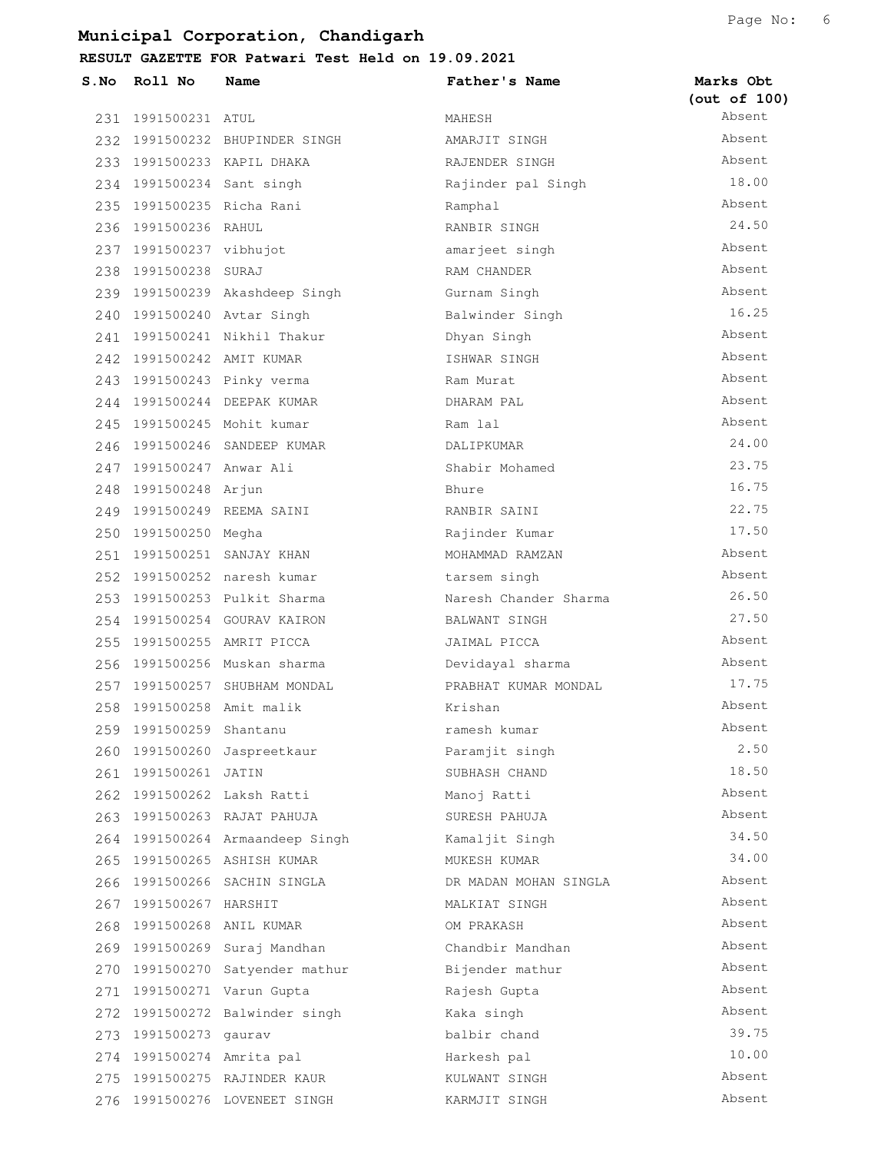| $S$ . No | Roll No                   | Name                            | Father's Name         | Marks Obt<br>(out of 100) |
|----------|---------------------------|---------------------------------|-----------------------|---------------------------|
|          | 231 1991500231 ATUL       |                                 | MAHESH                | Absent                    |
|          |                           | 232 1991500232 BHUPINDER SINGH  | AMARJIT SINGH         | Absent                    |
|          |                           | 233 1991500233 KAPIL DHAKA      | RAJENDER SINGH        | Absent                    |
|          | 234 1991500234 Sant singh |                                 | Rajinder pal Singh    | 18.00                     |
|          | 235 1991500235 Richa Rani |                                 | Ramphal               | Absent                    |
|          | 236 1991500236 RAHUL      |                                 | RANBIR SINGH          | 24.50                     |
|          | 237 1991500237 vibhujot   |                                 | amarjeet singh        | Absent                    |
|          | 238 1991500238 SURAJ      |                                 | RAM CHANDER           | Absent                    |
|          |                           | 239 1991500239 Akashdeep Singh  | Gurnam Singh          | Absent                    |
|          |                           | 240 1991500240 Avtar Singh      | Balwinder Singh       | 16.25                     |
|          |                           | 241 1991500241 Nikhil Thakur    | Dhyan Singh           | Absent                    |
|          | 242 1991500242 AMIT KUMAR |                                 | ISHWAR SINGH          | Absent                    |
|          |                           | 243 1991500243 Pinky verma      | Ram Murat             | Absent                    |
|          |                           | 244 1991500244 DEEPAK KUMAR     | DHARAM PAL            | Absent                    |
|          |                           | 245 1991500245 Mohit kumar      | Ram lal               | Absent                    |
|          |                           | 246 1991500246 SANDEEP KUMAR    | DALIPKUMAR            | 24.00                     |
|          | 247 1991500247 Anwar Ali  |                                 | Shabir Mohamed        | 23.75                     |
|          | 248 1991500248 Arjun      |                                 | Bhure                 | 16.75                     |
|          |                           | 249 1991500249 REEMA SAINI      | RANBIR SAINI          | 22.75                     |
|          | 250 1991500250 Megha      |                                 | Rajinder Kumar        | 17.50                     |
|          |                           | 251 1991500251 SANJAY KHAN      | MOHAMMAD RAMZAN       | Absent                    |
|          |                           | 252 1991500252 naresh kumar     | tarsem singh          | Absent                    |
|          |                           | 253 1991500253 Pulkit Sharma    | Naresh Chander Sharma | 26.50                     |
|          |                           | 254 1991500254 GOURAV KAIRON    | BALWANT SINGH         | 27.50                     |
|          |                           | 255 1991500255 AMRIT PICCA      | JAIMAL PICCA          | Absent                    |
|          |                           | 256 1991500256 Muskan sharma    | Devidayal sharma      | Absent                    |
|          |                           | 257 1991500257 SHUBHAM MONDAL   | PRABHAT KUMAR MONDAL  | 17.75                     |
|          | 258 1991500258 Amit malik |                                 | Krishan               | Absent                    |
| 259      | 1991500259                | Shantanu                        | ramesh kumar          | Absent                    |
| 260      |                           | 1991500260 Jaspreetkaur         | Paramjit singh        | 2.50                      |
|          | 261 1991500261 JATIN      |                                 | SUBHASH CHAND         | 18.50                     |
|          |                           | 262 1991500262 Laksh Ratti      | Manoj Ratti           | Absent                    |
|          |                           | 263 1991500263 RAJAT PAHUJA     | SURESH PAHUJA         | Absent                    |
|          |                           | 264 1991500264 Armaandeep Singh | Kamaljit Singh        | 34.50                     |
| 265      |                           | 1991500265 ASHISH KUMAR         | MUKESH KUMAR          | 34.00                     |
|          |                           | 266 1991500266 SACHIN SINGLA    | DR MADAN MOHAN SINGLA | Absent                    |
|          | 267 1991500267 HARSHIT    |                                 | MALKIAT SINGH         | Absent                    |
| 268      |                           | 1991500268 ANIL KUMAR           | OM PRAKASH            | Absent                    |
|          | 269 1991500269            | Suraj Mandhan                   | Chandbir Mandhan      | Absent                    |
|          | 270 1991500270            | Satyender mathur                | Bijender mathur       | Absent                    |
| 271      |                           | 1991500271 Varun Gupta          | Rajesh Gupta          | Absent                    |
| 272      |                           | 1991500272 Balwinder singh      | Kaka singh            | Absent                    |
| 273      | 1991500273                | gaurav                          | balbir chand          | 39.75                     |
|          | 274 1991500274 Amrita pal |                                 | Harkesh pal           | 10.00                     |
| 275      |                           | 1991500275 RAJINDER KAUR        | KULWANT SINGH         | Absent                    |
| 276      |                           | 1991500276 LOVENEET SINGH       | KARMJIT SINGH         | Absent                    |
|          |                           |                                 |                       |                           |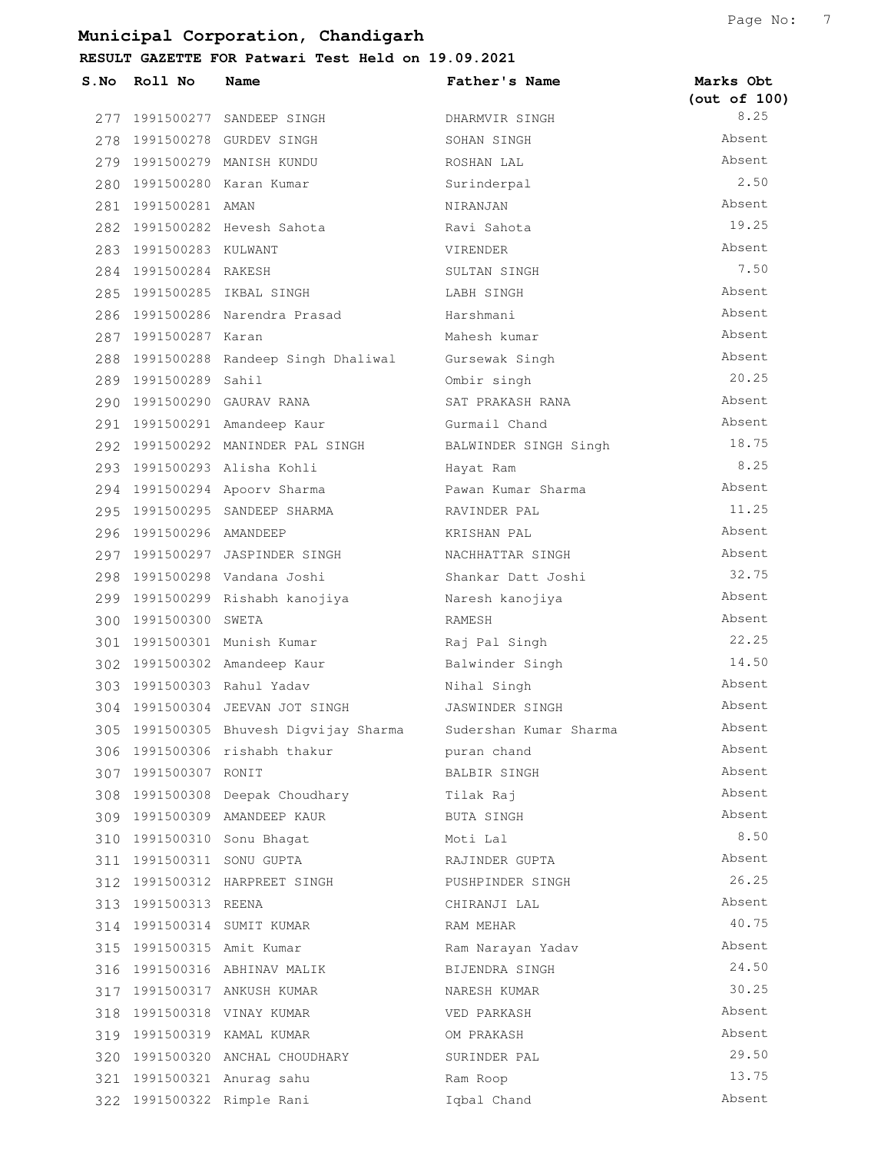| S.No | Roll No                   | Name                                   | Father's Name          | Marks Obt<br>(out of 100) |
|------|---------------------------|----------------------------------------|------------------------|---------------------------|
|      |                           | 277 1991500277 SANDEEP SINGH           | DHARMVIR SINGH         | 8.25                      |
|      |                           | 278 1991500278 GURDEV SINGH            | SOHAN SINGH            | Absent                    |
|      |                           | 279 1991500279 MANISH KUNDU            | ROSHAN LAL             | Absent                    |
|      |                           | 280 1991500280 Karan Kumar             | Surinderpal            | 2.50                      |
|      | 281 1991500281 AMAN       |                                        | NIRANJAN               | Absent                    |
|      |                           | 282 1991500282 Hevesh Sahota           | Ravi Sahota            | 19.25                     |
|      | 283 1991500283 KULWANT    |                                        | VIRENDER               | Absent                    |
|      | 284 1991500284 RAKESH     |                                        | SULTAN SINGH           | 7.50                      |
|      |                           | 285 1991500285 IKBAL SINGH             | LABH SINGH             | Absent                    |
|      |                           | 286 1991500286 Narendra Prasad         | Harshmani              | Absent                    |
|      | 287 1991500287 Karan      |                                        | Mahesh kumar           | Absent                    |
|      |                           | 288 1991500288 Randeep Singh Dhaliwal  | Gursewak Singh         | Absent                    |
|      | 289 1991500289 Sahil      |                                        | Ombir singh            | 20.25                     |
|      |                           | 290 1991500290 GAURAV RANA             | SAT PRAKASH RANA       | Absent                    |
|      |                           | 291 1991500291 Amandeep Kaur           | Gurmail Chand          | Absent                    |
|      |                           | 292 1991500292 MANINDER PAL SINGH      | BALWINDER SINGH Singh  | 18.75                     |
|      |                           | 293 1991500293 Alisha Kohli            | Hayat Ram              | 8.25                      |
|      |                           | 294 1991500294 Apoorv Sharma           | Pawan Kumar Sharma     | Absent                    |
|      |                           | 295 1991500295 SANDEEP SHARMA          | RAVINDER PAL           | 11.25                     |
|      | 296 1991500296 AMANDEEP   |                                        | KRISHAN PAL            | Absent                    |
|      |                           | 297 1991500297 JASPINDER SINGH         | NACHHATTAR SINGH       | Absent                    |
|      |                           | 298 1991500298 Vandana Joshi           | Shankar Datt Joshi     | 32.75                     |
|      |                           | 299 1991500299 Rishabh kanojiya        | Naresh kanojiya        | Absent                    |
|      | 300 1991500300 SWETA      |                                        | RAMESH                 | Absent                    |
|      |                           | 301 1991500301 Munish Kumar            | Raj Pal Singh          | 22.25                     |
|      |                           | 302 1991500302 Amandeep Kaur           | Balwinder Singh        | 14.50                     |
|      |                           | 303 1991500303 Rahul Yadav             | Nihal Singh            | Absent                    |
|      |                           | 304 1991500304 JEEVAN JOT SINGH        | JASWINDER SINGH        | Absent                    |
|      |                           | 305 1991500305 Bhuvesh Digvijay Sharma | Sudershan Kumar Sharma | Absent                    |
|      |                           | 306 1991500306 rishabh thakur          | puran chand            | Absent                    |
|      | 307 1991500307 RONIT      |                                        | BALBIR SINGH           | Absent                    |
|      |                           | 308 1991500308 Deepak Choudhary        | Tilak Raj              | Absent                    |
|      |                           | 309 1991500309 AMANDEEP KAUR           | BUTA SINGH             | Absent                    |
|      |                           | 310 1991500310 Sonu Bhagat             | Moti Lal               | 8.50                      |
|      | 311 1991500311 SONU GUPTA |                                        | RAJINDER GUPTA         | Absent                    |
|      |                           | 312 1991500312 HARPREET SINGH          | PUSHPINDER SINGH       | 26.25                     |
|      | 313 1991500313 REENA      |                                        | CHIRANJI LAL           | Absent                    |
|      |                           | 314 1991500314 SUMIT KUMAR             | RAM MEHAR              | 40.75                     |
|      | 315 1991500315 Amit Kumar |                                        | Ram Narayan Yadav      | Absent                    |
|      |                           | 316 1991500316 ABHINAV MALIK           | BIJENDRA SINGH         | 24.50                     |
|      |                           | 317 1991500317 ANKUSH KUMAR            | NARESH KUMAR           | 30.25                     |
|      |                           | 318 1991500318 VINAY KUMAR             | VED PARKASH            | Absent                    |
|      |                           | 319 1991500319 KAMAL KUMAR             | OM PRAKASH             | Absent                    |
|      |                           | 320 1991500320 ANCHAL CHOUDHARY        | SURINDER PAL           | 29.50                     |
|      |                           | 321 1991500321 Anurag sahu             | Ram Roop               | 13.75                     |
|      |                           | 322 1991500322 Rimple Rani             | Iqbal Chand            | Absent                    |
|      |                           |                                        |                        |                           |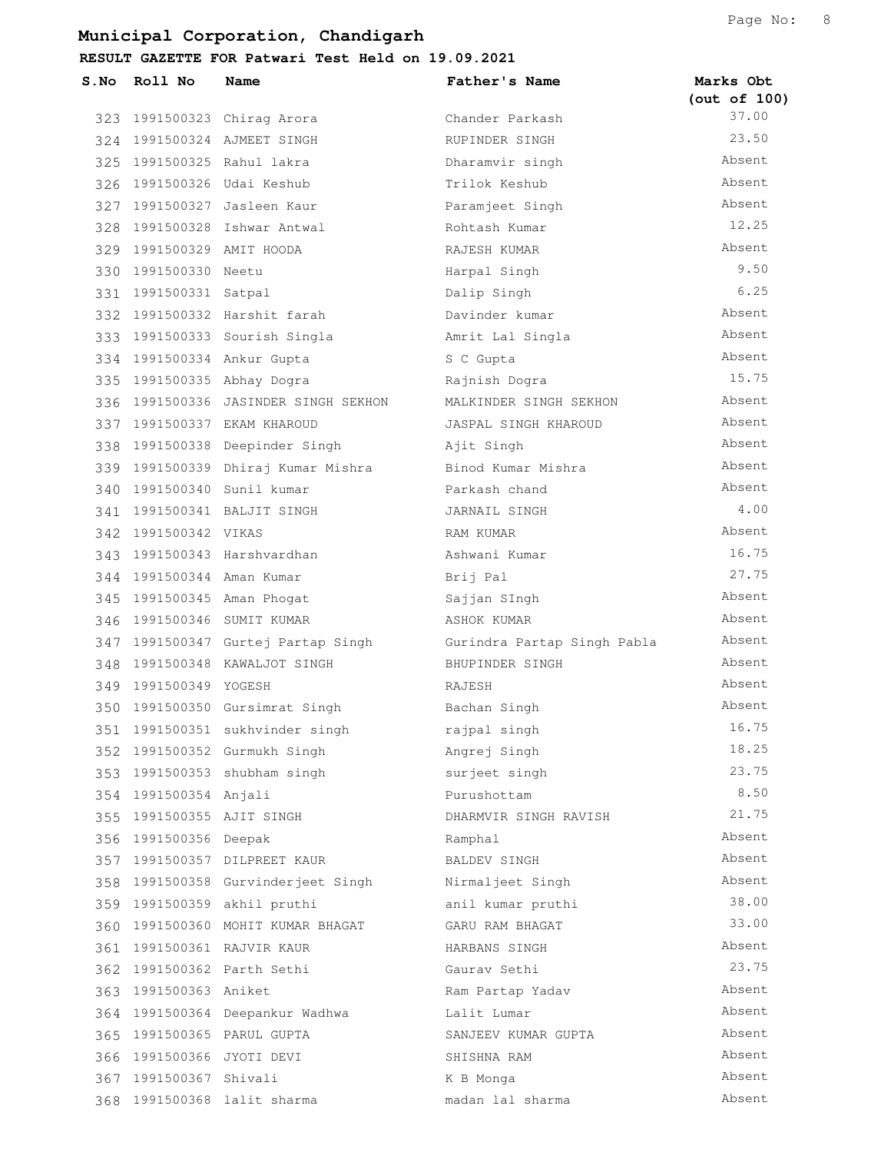**RESULT GAZETTE FOR Patwari Test Held on 19.09.2021**

| $S$ . No | Roll No                   | Name                                 | Father's Name               | Marks Obt<br>(out of 100) |
|----------|---------------------------|--------------------------------------|-----------------------------|---------------------------|
|          |                           | 323 1991500323 Chirag Arora          | Chander Parkash             | 37.00                     |
|          |                           | 324 1991500324 AJMEET SINGH          | RUPINDER SINGH              | 23.50                     |
|          |                           | 325 1991500325 Rahul lakra           | Dharamvir singh             | Absent                    |
|          |                           | 326 1991500326 Udai Keshub           | Trilok Keshub               | Absent                    |
|          |                           | 327 1991500327 Jasleen Kaur          | Paramjeet Singh             | Absent                    |
|          |                           | 328 1991500328 Ishwar Antwal         | Rohtash Kumar               | 12.25                     |
|          | 329 1991500329 AMIT HOODA |                                      | RAJESH KUMAR                | Absent                    |
|          | 330 1991500330 Neetu      |                                      | Harpal Singh                | 9.50                      |
|          | 331 1991500331 Satpal     |                                      | Dalip Singh                 | 6.25                      |
|          |                           | 332 1991500332 Harshit farah         | Davinder kumar              | Absent                    |
|          |                           | 333 1991500333 Sourish Singla        | Amrit Lal Singla            | Absent                    |
|          |                           | 334 1991500334 Ankur Gupta           | S C Gupta                   | Absent                    |
|          |                           | 335 1991500335 Abhay Dogra           | Rajnish Dogra               | 15.75                     |
|          |                           | 336 1991500336 JASINDER SINGH SEKHON | MALKINDER SINGH SEKHON      | Absent                    |
|          |                           | 337 1991500337 EKAM KHAROUD          | JASPAL SINGH KHAROUD        | Absent                    |
|          |                           | 338 1991500338 Deepinder Singh       | Ajit Singh                  | Absent                    |
|          |                           | 339 1991500339 Dhiraj Kumar Mishra   | Binod Kumar Mishra          | Absent                    |
|          |                           | 340 1991500340 Sunil kumar           | Parkash chand               | Absent                    |
|          |                           | 341 1991500341 BALJIT SINGH          | JARNAIL SINGH               | 4.00                      |
|          | 342 1991500342 VIKAS      |                                      | RAM KUMAR                   | Absent                    |
|          |                           | 343 1991500343 Harshvardhan          | Ashwani Kumar               | 16.75                     |
|          | 344 1991500344 Aman Kumar |                                      | Brij Pal                    | 27.75                     |
|          |                           | 345 1991500345 Aman Phogat           | Sajjan SIngh                | Absent                    |
|          |                           | 346 1991500346 SUMIT KUMAR           | ASHOK KUMAR                 | Absent                    |
|          |                           | 347 1991500347 Gurtej Partap Singh   | Gurindra Partap Singh Pabla | Absent                    |
|          |                           | 348 1991500348 KAWALJOT SINGH        | BHUPINDER SINGH             | Absent                    |
|          | 349 1991500349 YOGESH     |                                      | RAJESH                      | Absent                    |
|          |                           | 350 1991500350 Gursimrat Singh       | Bachan Singh                | Absent                    |
| 351      |                           | 1991500351 sukhvinder singh          | rajpal singh                | 16.75                     |
| 352      |                           | 1991500352 Gurmukh Singh             | Angrej Singh                | 18.25                     |
|          |                           | 353 1991500353 shubham singh         | surjeet singh               | 23.75                     |
|          | 354 1991500354 Anjali     |                                      | Purushottam                 | 8.50                      |
|          | 355 1991500355 AJIT SINGH |                                      | DHARMVIR SINGH RAVISH       | 21.75                     |
|          | 356 1991500356 Deepak     |                                      | Ramphal                     | Absent                    |
|          |                           | 357 1991500357 DILPREET KAUR         | BALDEV SINGH                | Absent                    |
|          |                           | 358 1991500358 Gurvinderjeet Singh   | Nirmaljeet Singh            | Absent                    |
|          |                           | 359 1991500359 akhil pruthi          | anil kumar pruthi           | 38.00                     |
| 360      |                           | 1991500360 MOHIT KUMAR BHAGAT        | GARU RAM BHAGAT             | 33.00                     |
|          |                           | 361 1991500361 RAJVIR KAUR           | HARBANS SINGH               | Absent                    |
|          |                           | 362 1991500362 Parth Sethi           | Gaurav Sethi                | 23.75                     |
|          | 363 1991500363 Aniket     |                                      | Ram Partap Yadav            | Absent                    |
|          |                           | 364 1991500364 Deepankur Wadhwa      | Lalit Lumar                 | Absent                    |
|          |                           | 365 1991500365 PARUL GUPTA           | SANJEEV KUMAR GUPTA         | Absent                    |
|          | 366 1991500366 JYOTI DEVI |                                      | SHISHNA RAM                 | Absent                    |
|          | 367 1991500367 Shivali    |                                      | K B Monga                   | Absent                    |
|          |                           | 368 1991500368 lalit sharma          | madan lal sharma            | Absent                    |